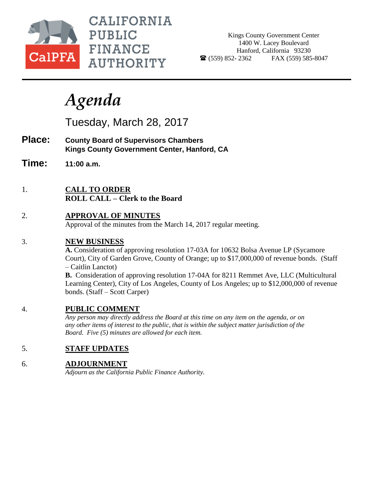

**CALIFORNIA PUBLIC FINANCE AUTHORITY** 

Kings County Government Center 1400 W. Lacey Boulevard Hanford, California 93230  $\bullet$  (559) 852-2362 FAX (559) 585-8047

# *Agenda*

Tuesday, March 28, 2017

- **Place: County Board of Supervisors Chambers Kings County Government Center, Hanford, CA**
- **Time: 11:00 a.m.**
- 1. **CALL TO ORDER ROLL CALL – Clerk to the Board**
- 2. **APPROVAL OF MINUTES** Approval of the minutes from the March 14, 2017 regular meeting.

# 3. **NEW BUSINESS**

**A.** Consideration of approving resolution 17-03A for 10632 Bolsa Avenue LP (Sycamore Court), City of Garden Grove, County of Orange; up to \$17,000,000 of revenue bonds. (Staff – Caitlin Lanctot)

**B.** Consideration of approving resolution 17-04A for 8211 Remmet Ave, LLC (Multicultural Learning Center), City of Los Angeles, County of Los Angeles; up to \$12,000,000 of revenue bonds. (Staff – Scott Carper)

# 4. **PUBLIC COMMENT**

*Any person may directly address the Board at this time on any item on the agenda, or on any other items of interest to the public, that is within the subject matter jurisdiction of the Board. Five (5) minutes are allowed for each item.*

# 5. **STAFF UPDATES**

# 6. **ADJOURNMENT**

*Adjourn as the California Public Finance Authority.*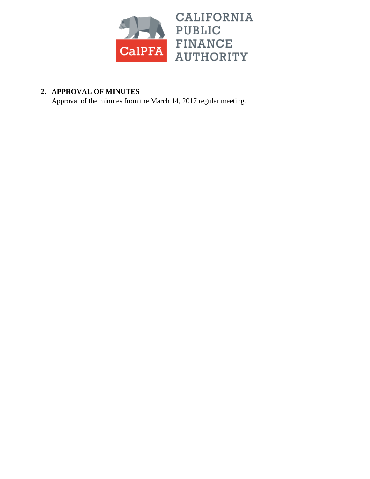

# **2. APPROVAL OF MINUTES**

Approval of the minutes from the March 14, 2017 regular meeting.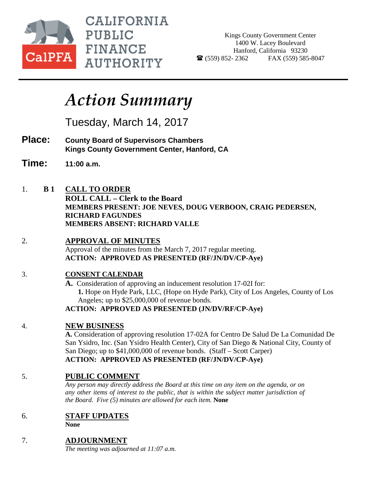

**CALIFORNIA PUBLIC FINANCE AUTHORITY** 

Kings County Government Center 1400 W. Lacey Boulevard Hanford, California 93230  $\bullet$  (559) 852-2362 FAX (559) 585-8047

# *Action Summary*

Tuesday, March 14, 2017

- **Place: County Board of Supervisors Chambers Kings County Government Center, Hanford, CA**
- **Time: 11:00 a.m.**
- 1. **B 1 CALL TO ORDER**

**ROLL CALL – Clerk to the Board MEMBERS PRESENT: JOE NEVES, DOUG VERBOON, CRAIG PEDERSEN, RICHARD FAGUNDES MEMBERS ABSENT: RICHARD VALLE**

2. **APPROVAL OF MINUTES**

Approval of the minutes from the March 7, 2017 regular meeting. **ACTION: APPROVED AS PRESENTED (RF/JN/DV/CP-Aye)**

# 3. **CONSENT CALENDAR**

**A.** Consideration of approving an inducement resolution 17-02I for: **1.** Hope on Hyde Park, LLC, (Hope on Hyde Park), City of Los Angeles, County of Los Angeles; up to \$25,000,000 of revenue bonds.

**ACTION: APPROVED AS PRESENTED (JN/DV/RF/CP-Aye)**

# 4. **NEW BUSINESS**

**A.** Consideration of approving resolution 17-02A for Centro De Salud De La Comunidad De San Ysidro, Inc. (San Ysidro Health Center), City of San Diego & National City, County of San Diego; up to \$41,000,000 of revenue bonds. (Staff – Scott Carper) **ACTION: APPROVED AS PRESENTED (RF/JN/DV/CP-Aye)**

# 5. **PUBLIC COMMENT**

*Any person may directly address the Board at this time on any item on the agenda, or on any other items of interest to the public, that is within the subject matter jurisdiction of the Board. Five (5) minutes are allowed for each item.* **None**

# 6. **STAFF UPDATES**

**None**

# 7. **ADJOURNMENT**

*The meeting was adjourned at 11:07 a.m.*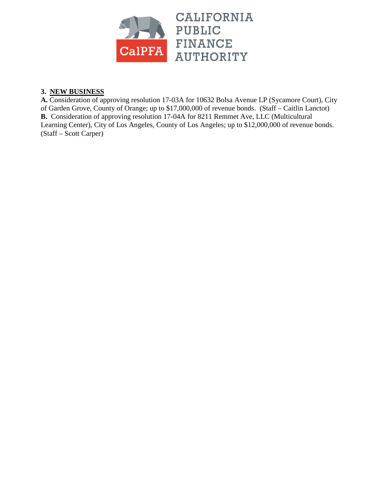

# **3. NEW BUSINESS**

**A.** Consideration of approving resolution 17-03A for 10632 Bolsa Avenue LP (Sycamore Court), City of Garden Grove, County of Orange; up to \$17,000,000 of revenue bonds. (Staff – Caitlin Lanctot) **B.** Consideration of approving resolution 17-04A for 8211 Remmet Ave, LLC (Multicultural Learning Center), City of Los Angeles, County of Los Angeles; up to \$12,000,000 of revenue bonds. (Staff – Scott Carper)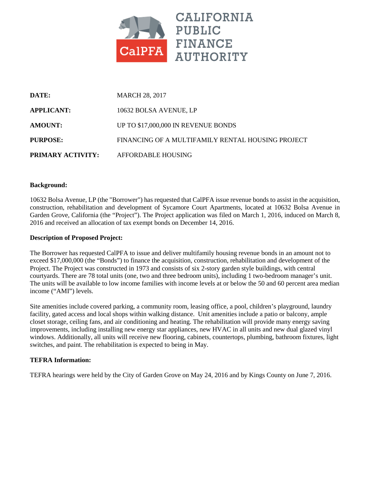

| DATE:                    | <b>MARCH 28, 2017</b>                             |
|--------------------------|---------------------------------------------------|
| <b>APPLICANT:</b>        | 10632 BOLSA AVENUE, LP                            |
| <b>AMOUNT:</b>           | UP TO \$17,000,000 IN REVENUE BONDS               |
| PURPOSE:                 | FINANCING OF A MULTIFAMILY RENTAL HOUSING PROJECT |
| <b>PRIMARY ACTIVITY:</b> | AFFORDABLE HOUSING                                |

## **Background:**

10632 Bolsa Avenue, LP (the "Borrower") has requested that CalPFA issue revenue bonds to assist in the acquisition, construction, rehabilitation and development of Sycamore Court Apartments, located at 10632 Bolsa Avenue in Garden Grove, California (the "Project"). The Project application was filed on March 1, 2016, induced on March 8, 2016 and received an allocation of tax exempt bonds on December 14, 2016.

#### **Description of Proposed Project:**

The Borrower has requested CalPFA to issue and deliver multifamily housing revenue bonds in an amount not to exceed \$17,000,000 (the "Bonds") to finance the acquisition, construction, rehabilitation and development of the Project. The Project was constructed in 1973 and consists of six 2-story garden style buildings, with central courtyards. There are 78 total units (one, two and three bedroom units), including 1 two-bedroom manager's unit. The units will be available to low income families with income levels at or below the 50 and 60 percent area median income ("AMI") levels.

Site amenities include covered parking, a community room, leasing office, a pool, children's playground, laundry facility, gated access and local shops within walking distance. Unit amenities include a patio or balcony, ample closet storage, ceiling fans, and air conditioning and heating. The rehabilitation will provide many energy saving improvements, including installing new energy star appliances, new HVAC in all units and new dual glazed vinyl windows. Additionally, all units will receive new flooring, cabinets, countertops, plumbing, bathroom fixtures, light switches, and paint. The rehabilitation is expected to being in May.

#### **TEFRA Information:**

TEFRA hearings were held by the City of Garden Grove on May 24, 2016 and by Kings County on June 7, 2016.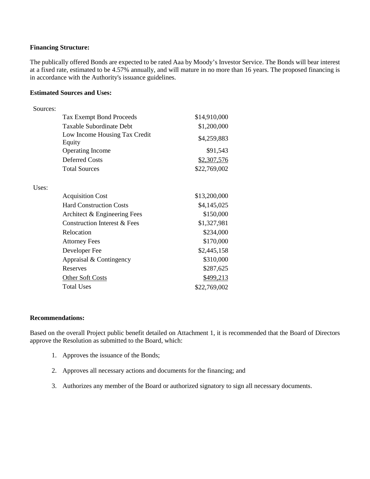## **Financing Structure:**

The publically offered Bonds are expected to be rated Aaa by Moody's Investor Service. The Bonds will bear interest at a fixed rate, estimated to be 4.57% annually, and will mature in no more than 16 years. The proposed financing is in accordance with the Authority's issuance guidelines.

#### **Estimated Sources and Uses:**

| Sources: |                                         |              |
|----------|-----------------------------------------|--------------|
|          | <b>Tax Exempt Bond Proceeds</b>         | \$14,910,000 |
|          | Taxable Subordinate Debt                | \$1,200,000  |
|          | Low Income Housing Tax Credit<br>Equity | \$4,259,883  |
|          | <b>Operating Income</b>                 | \$91,543     |
|          | <b>Deferred Costs</b>                   | \$2,307,576  |
|          | <b>Total Sources</b>                    | \$22,769,002 |
| Uses:    |                                         |              |
|          | <b>Acquisition Cost</b>                 | \$13,200,000 |
|          | <b>Hard Construction Costs</b>          | \$4,145,025  |
|          | Architect & Engineering Fees            | \$150,000    |
|          | <b>Construction Interest &amp; Fees</b> | \$1,327,981  |
|          | Relocation                              | \$234,000    |
|          | <b>Attorney Fees</b>                    | \$170,000    |
|          | Developer Fee                           | \$2,445,158  |
|          | Appraisal & Contingency                 | \$310,000    |
|          | Reserves                                | \$287,625    |
|          | <b>Other Soft Costs</b>                 | \$499,213    |
|          | <b>Total Uses</b>                       | \$22,769,002 |

#### **Recommendations:**

Based on the overall Project public benefit detailed on Attachment 1, it is recommended that the Board of Directors approve the Resolution as submitted to the Board, which:

- 1. Approves the issuance of the Bonds;
- 2. Approves all necessary actions and documents for the financing; and
- 3. Authorizes any member of the Board or authorized signatory to sign all necessary documents.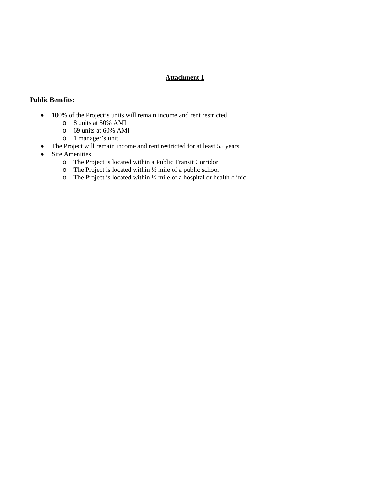# **Attachment 1**

# **Public Benefits:**

- 100% of the Project's units will remain income and rent restricted
	- o 8 units at 50% AMI
	- o 69 units at 60% AMI
	- o 1 manager's unit
- The Project will remain income and rent restricted for at least 55 years
- Site Amenities
	- o The Project is located within a Public Transit Corridor
	- $\circ$  The Project is located within  $\frac{1}{2}$  mile of a public school
	- o The Project is located within ½ mile of a hospital or health clinic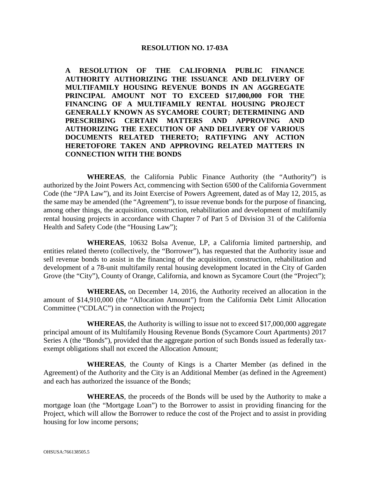# **RESOLUTION NO. 17-03A**

**A RESOLUTION OF THE CALIFORNIA PUBLIC FINANCE AUTHORITY AUTHORIZING THE ISSUANCE AND DELIVERY OF MULTIFAMILY HOUSING REVENUE BONDS IN AN AGGREGATE PRINCIPAL AMOUNT NOT TO EXCEED \$17,000,000 FOR THE FINANCING OF A MULTIFAMILY RENTAL HOUSING PROJECT GENERALLY KNOWN AS SYCAMORE COURT; DETERMINING AND PRESCRIBING CERTAIN MATTERS AND APPROVING AND AUTHORIZING THE EXECUTION OF AND DELIVERY OF VARIOUS DOCUMENTS RELATED THERETO; RATIFYING ANY ACTION HERETOFORE TAKEN AND APPROVING RELATED MATTERS IN CONNECTION WITH THE BONDS**

**WHEREAS**, the California Public Finance Authority (the "Authority") is authorized by the Joint Powers Act, commencing with Section 6500 of the California Government Code (the "JPA Law"), and its Joint Exercise of Powers Agreement, dated as of May 12, 2015, as the same may be amended (the "Agreement"), to issue revenue bonds for the purpose of financing, among other things, the acquisition, construction, rehabilitation and development of multifamily rental housing projects in accordance with Chapter 7 of Part 5 of Division 31 of the California Health and Safety Code (the "Housing Law");

**WHEREAS**, 10632 Bolsa Avenue, LP, a California limited partnership, and entities related thereto (collectively, the "Borrower"), has requested that the Authority issue and sell revenue bonds to assist in the financing of the acquisition, construction, rehabilitation and development of a 78-unit multifamily rental housing development located in the City of Garden Grove (the "City"), County of Orange, California, and known as Sycamore Court (the "Project");

**WHEREAS,** on December 14, 2016, the Authority received an allocation in the amount of \$14,910,000 (the "Allocation Amount") from the California Debt Limit Allocation Committee ("CDLAC") in connection with the Project**;**

**WHEREAS**, the Authority is willing to issue not to exceed \$17,000,000 aggregate principal amount of its Multifamily Housing Revenue Bonds (Sycamore Court Apartments) 2017 Series A (the "Bonds"), provided that the aggregate portion of such Bonds issued as federally taxexempt obligations shall not exceed the Allocation Amount;

**WHEREAS**, the County of Kings is a Charter Member (as defined in the Agreement) of the Authority and the City is an Additional Member (as defined in the Agreement) and each has authorized the issuance of the Bonds;

**WHEREAS**, the proceeds of the Bonds will be used by the Authority to make a mortgage loan (the "Mortgage Loan") to the Borrower to assist in providing financing for the Project, which will allow the Borrower to reduce the cost of the Project and to assist in providing housing for low income persons;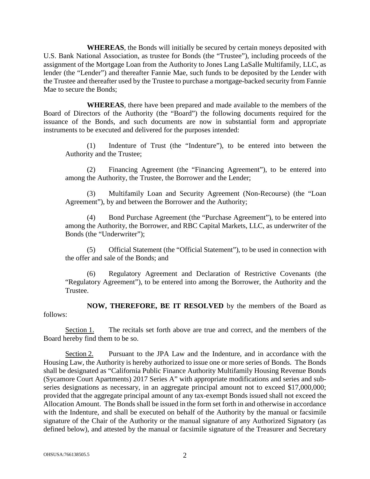**WHEREAS**, the Bonds will initially be secured by certain moneys deposited with U.S. Bank National Association, as trustee for Bonds (the "Trustee"), including proceeds of the assignment of the Mortgage Loan from the Authority to Jones Lang LaSalle Multifamily, LLC, as lender (the "Lender") and thereafter Fannie Mae, such funds to be deposited by the Lender with the Trustee and thereafter used by the Trustee to purchase a mortgage-backed security from Fannie Mae to secure the Bonds;

**WHEREAS**, there have been prepared and made available to the members of the Board of Directors of the Authority (the "Board") the following documents required for the issuance of the Bonds, and such documents are now in substantial form and appropriate instruments to be executed and delivered for the purposes intended:

(1) Indenture of Trust (the "Indenture"), to be entered into between the Authority and the Trustee;

(2) Financing Agreement (the "Financing Agreement"), to be entered into among the Authority, the Trustee, the Borrower and the Lender;

(3) Multifamily Loan and Security Agreement (Non-Recourse) (the "Loan Agreement"), by and between the Borrower and the Authority;

(4) Bond Purchase Agreement (the "Purchase Agreement"), to be entered into among the Authority, the Borrower, and RBC Capital Markets, LLC, as underwriter of the Bonds (the "Underwriter");

(5) Official Statement (the "Official Statement"), to be used in connection with the offer and sale of the Bonds; and

(6) Regulatory Agreement and Declaration of Restrictive Covenants (the "Regulatory Agreement"), to be entered into among the Borrower, the Authority and the Trustee.

**NOW, THEREFORE, BE IT RESOLVED** by the members of the Board as follows:

Section 1. The recitals set forth above are true and correct, and the members of the Board hereby find them to be so.

Section 2. Pursuant to the JPA Law and the Indenture, and in accordance with the Housing Law, the Authority is hereby authorized to issue one or more series of Bonds. The Bonds shall be designated as "California Public Finance Authority Multifamily Housing Revenue Bonds (Sycamore Court Apartments) 2017 Series A" with appropriate modifications and series and subseries designations as necessary, in an aggregate principal amount not to exceed \$17,000,000; provided that the aggregate principal amount of any tax-exempt Bonds issued shall not exceed the Allocation Amount. The Bonds shall be issued in the form set forth in and otherwise in accordance with the Indenture, and shall be executed on behalf of the Authority by the manual or facsimile signature of the Chair of the Authority or the manual signature of any Authorized Signatory (as defined below), and attested by the manual or facsimile signature of the Treasurer and Secretary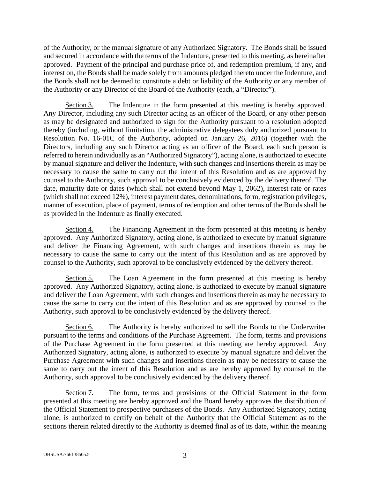of the Authority, or the manual signature of any Authorized Signatory. The Bonds shall be issued and secured in accordance with the terms of the Indenture, presented to this meeting, as hereinafter approved. Payment of the principal and purchase price of, and redemption premium, if any, and interest on, the Bonds shall be made solely from amounts pledged thereto under the Indenture, and the Bonds shall not be deemed to constitute a debt or liability of the Authority or any member of the Authority or any Director of the Board of the Authority (each, a "Director").

Section 3. The Indenture in the form presented at this meeting is hereby approved. Any Director, including any such Director acting as an officer of the Board, or any other person as may be designated and authorized to sign for the Authority pursuant to a resolution adopted thereby (including, without limitation, the administrative delegatees duly authorized pursuant to Resolution No. 16-01C of the Authority, adopted on January 26, 2016) (together with the Directors, including any such Director acting as an officer of the Board, each such person is referred to herein individually as an "Authorized Signatory"), acting alone, is authorized to execute by manual signature and deliver the Indenture, with such changes and insertions therein as may be necessary to cause the same to carry out the intent of this Resolution and as are approved by counsel to the Authority, such approval to be conclusively evidenced by the delivery thereof. The date, maturity date or dates (which shall not extend beyond May 1, 2062), interest rate or rates (which shall not exceed 12%), interest payment dates, denominations, form, registration privileges, manner of execution, place of payment, terms of redemption and other terms of the Bonds shall be as provided in the Indenture as finally executed.

Section 4. The Financing Agreement in the form presented at this meeting is hereby approved. Any Authorized Signatory, acting alone, is authorized to execute by manual signature and deliver the Financing Agreement, with such changes and insertions therein as may be necessary to cause the same to carry out the intent of this Resolution and as are approved by counsel to the Authority, such approval to be conclusively evidenced by the delivery thereof.

Section 5. The Loan Agreement in the form presented at this meeting is hereby approved. Any Authorized Signatory, acting alone, is authorized to execute by manual signature and deliver the Loan Agreement, with such changes and insertions therein as may be necessary to cause the same to carry out the intent of this Resolution and as are approved by counsel to the Authority, such approval to be conclusively evidenced by the delivery thereof.

Section 6. The Authority is hereby authorized to sell the Bonds to the Underwriter pursuant to the terms and conditions of the Purchase Agreement. The form, terms and provisions of the Purchase Agreement in the form presented at this meeting are hereby approved. Any Authorized Signatory, acting alone, is authorized to execute by manual signature and deliver the Purchase Agreement with such changes and insertions therein as may be necessary to cause the same to carry out the intent of this Resolution and as are hereby approved by counsel to the Authority, such approval to be conclusively evidenced by the delivery thereof.

Section 7. The form, terms and provisions of the Official Statement in the form presented at this meeting are hereby approved and the Board hereby approves the distribution of the Official Statement to prospective purchasers of the Bonds. Any Authorized Signatory, acting alone, is authorized to certify on behalf of the Authority that the Official Statement as to the sections therein related directly to the Authority is deemed final as of its date, within the meaning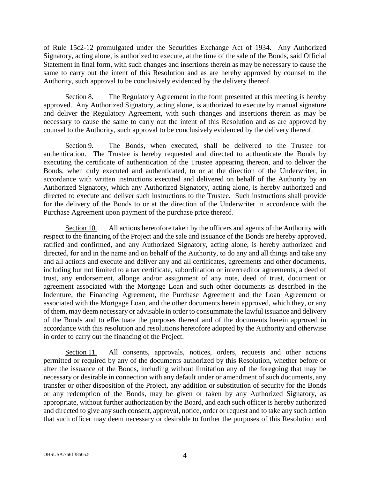of Rule 15c2-12 promulgated under the Securities Exchange Act of 1934. Any Authorized Signatory, acting alone, is authorized to execute, at the time of the sale of the Bonds, said Official Statement in final form, with such changes and insertions therein as may be necessary to cause the same to carry out the intent of this Resolution and as are hereby approved by counsel to the Authority, such approval to be conclusively evidenced by the delivery thereof.

Section 8. The Regulatory Agreement in the form presented at this meeting is hereby approved. Any Authorized Signatory, acting alone, is authorized to execute by manual signature and deliver the Regulatory Agreement, with such changes and insertions therein as may be necessary to cause the same to carry out the intent of this Resolution and as are approved by counsel to the Authority, such approval to be conclusively evidenced by the delivery thereof.

Section 9. The Bonds, when executed, shall be delivered to the Trustee for authentication. The Trustee is hereby requested and directed to authenticate the Bonds by executing the certificate of authentication of the Trustee appearing thereon, and to deliver the Bonds, when duly executed and authenticated, to or at the direction of the Underwriter, in accordance with written instructions executed and delivered on behalf of the Authority by an Authorized Signatory, which any Authorized Signatory, acting alone, is hereby authorized and directed to execute and deliver such instructions to the Trustee. Such instructions shall provide for the delivery of the Bonds to or at the direction of the Underwriter in accordance with the Purchase Agreement upon payment of the purchase price thereof.

Section 10. All actions heretofore taken by the officers and agents of the Authority with respect to the financing of the Project and the sale and issuance of the Bonds are hereby approved, ratified and confirmed, and any Authorized Signatory, acting alone, is hereby authorized and directed, for and in the name and on behalf of the Authority, to do any and all things and take any and all actions and execute and deliver any and all certificates, agreements and other documents, including but not limited to a tax certificate, subordination or intercreditor agreements, a deed of trust, any endorsement, allonge and/or assignment of any note, deed of trust, document or agreement associated with the Mortgage Loan and such other documents as described in the Indenture, the Financing Agreement, the Purchase Agreement and the Loan Agreement or associated with the Mortgage Loan, and the other documents herein approved, which they, or any of them, may deem necessary or advisable in order to consummate the lawful issuance and delivery of the Bonds and to effectuate the purposes thereof and of the documents herein approved in accordance with this resolution and resolutions heretofore adopted by the Authority and otherwise in order to carry out the financing of the Project.

Section 11. All consents, approvals, notices, orders, requests and other actions permitted or required by any of the documents authorized by this Resolution, whether before or after the issuance of the Bonds, including without limitation any of the foregoing that may be necessary or desirable in connection with any default under or amendment of such documents, any transfer or other disposition of the Project, any addition or substitution of security for the Bonds or any redemption of the Bonds, may be given or taken by any Authorized Signatory, as appropriate, without further authorization by the Board, and each such officer is hereby authorized and directed to give any such consent, approval, notice, order or request and to take any such action that such officer may deem necessary or desirable to further the purposes of this Resolution and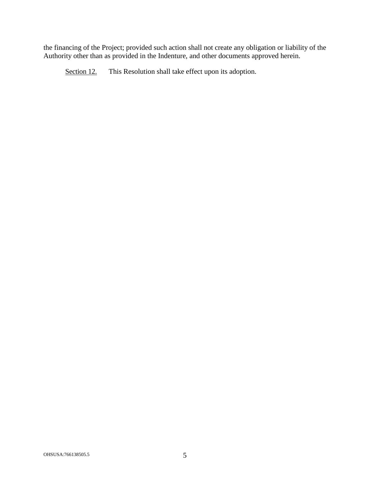the financing of the Project; provided such action shall not create any obligation or liability of the Authority other than as provided in the Indenture, and other documents approved herein.

Section 12. This Resolution shall take effect upon its adoption.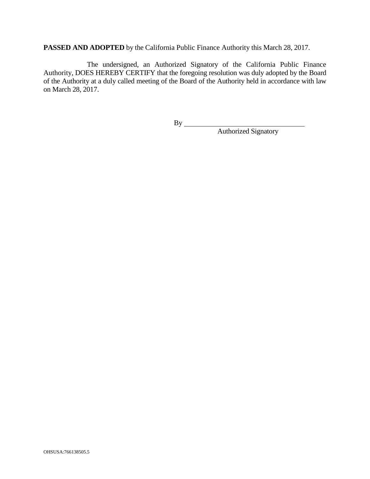**PASSED AND ADOPTED** by the California Public Finance Authority this March 28, 2017.

The undersigned, an Authorized Signatory of the California Public Finance Authority, DOES HEREBY CERTIFY that the foregoing resolution was duly adopted by the Board of the Authority at a duly called meeting of the Board of the Authority held in accordance with law on March 28, 2017.

By

Authorized Signatory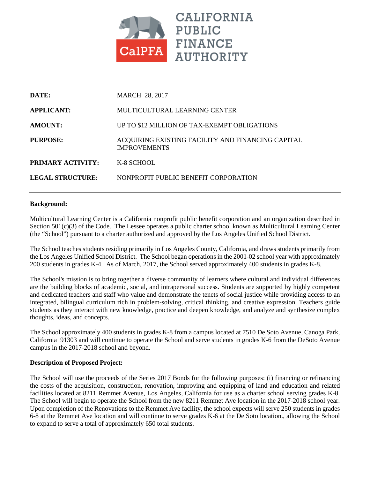

| DATE:                   | <b>MARCH 28, 2017</b>                                                    |  |
|-------------------------|--------------------------------------------------------------------------|--|
| <b>APPLICANT:</b>       | MULTICULTURAL LEARNING CENTER                                            |  |
| <b>AMOUNT:</b>          | UP TO \$12 MILLION OF TAX-EXEMPT OBLIGATIONS                             |  |
| PURPOSE:                | ACQUIRING EXISTING FACILITY AND FINANCING CAPITAL<br><b>IMPROVEMENTS</b> |  |
| PRIMARY ACTIVITY:       | K-8 SCHOOL                                                               |  |
| <b>LEGAL STRUCTURE:</b> | NONPROFIT PUBLIC BENEFIT CORPORATION                                     |  |

## **Background:**

Multicultural Learning Center is a California nonprofit public benefit corporation and an organization described in Section 501(c)(3) of the Code. The Lessee operates a public charter school known as Multicultural Learning Center (the "School") pursuant to a charter authorized and approved by the Los Angeles Unified School District.

The School teaches students residing primarily in Los Angeles County, California, and draws students primarily from the Los Angeles Unified School District. The School began operations in the 2001-02 school year with approximately 200 students in grades K-4. As of March, 2017, the School served approximately 400 students in grades K-8.

The School's mission is to bring together a diverse community of learners where cultural and individual differences are the building blocks of academic, social, and intrapersonal success. Students are supported by highly competent and dedicated teachers and staff who value and demonstrate the tenets of social justice while providing access to an integrated, bilingual curriculum rich in problem-solving, critical thinking, and creative expression. Teachers guide students as they interact with new knowledge, practice and deepen knowledge, and analyze and synthesize complex thoughts, ideas, and concepts.

The School approximately 400 students in grades K-8 from a campus located at 7510 De Soto Avenue, Canoga Park, California 91303 and will continue to operate the School and serve students in grades K-6 from the DeSoto Avenue campus in the 2017-2018 school and beyond.

## **Description of Proposed Project:**

The School will use the proceeds of the Series 2017 Bonds for the following purposes: (i) financing or refinancing the costs of the acquisition, construction, renovation, improving and equipping of land and education and related facilities located at 8211 Remmet Avenue, Los Angeles, California for use as a charter school serving grades K-8. The School will begin to operate the School from the new 8211 Remmet Ave location in the 2017-2018 school year. Upon completion of the Renovations to the Remmet Ave facility, the school expects will serve 250 students in grades 6-8 at the Remmet Ave location and will continue to serve grades K-6 at the De Soto location., allowing the School to expand to serve a total of approximately 650 total students.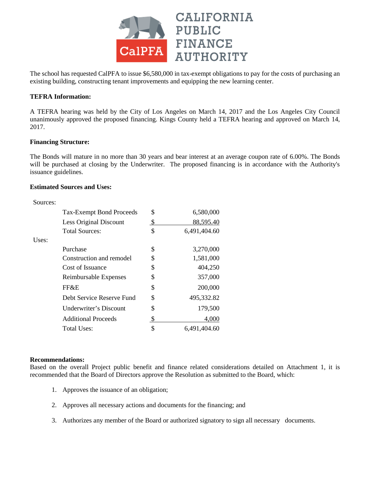

The school has requested CalPFA to issue \$6,580,000 in tax-exempt obligations to pay for the costs of purchasing an existing building, constructing tenant improvements and equipping the new learning center.

## **TEFRA Information:**

A TEFRA hearing was held by the City of Los Angeles on March 14, 2017 and the Los Angeles City Council unanimously approved the proposed financing. Kings County held a TEFRA hearing and approved on March 14, 2017.

## **Financing Structure:**

The Bonds will mature in no more than 30 years and bear interest at an average coupon rate of 6.00%. The Bonds will be purchased at closing by the Underwriter. The proposed financing is in accordance with the Authority's issuance guidelines.

#### **Estimated Sources and Uses:**

| Sources: |                                 |    |              |
|----------|---------------------------------|----|--------------|
|          | <b>Tax-Exempt Bond Proceeds</b> | \$ | 6,580,000    |
|          | Less Original Discount          | S  | 88,595.40    |
|          | <b>Total Sources:</b>           | \$ | 6,491,404.60 |
| Uses:    |                                 |    |              |
|          | Purchase                        | \$ | 3,270,000    |
|          | Construction and remodel        | \$ | 1,581,000    |
|          | Cost of Issuance                | \$ | 404,250      |
|          | Reimbursable Expenses           | \$ | 357,000      |
|          | FF&E                            | \$ | 200,000      |
|          | Debt Service Reserve Fund       | \$ | 495,332.82   |
|          | Underwriter's Discount          | \$ | 179,500      |
|          | <b>Additional Proceeds</b>      |    | 4,000        |
|          | Total Uses:                     | \$ | 6,491,404.60 |

#### **Recommendations:**

Based on the overall Project public benefit and finance related considerations detailed on Attachment 1, it is recommended that the Board of Directors approve the Resolution as submitted to the Board, which:

- 1. Approves the issuance of an obligation;
- 2. Approves all necessary actions and documents for the financing; and
- 3. Authorizes any member of the Board or authorized signatory to sign all necessary documents.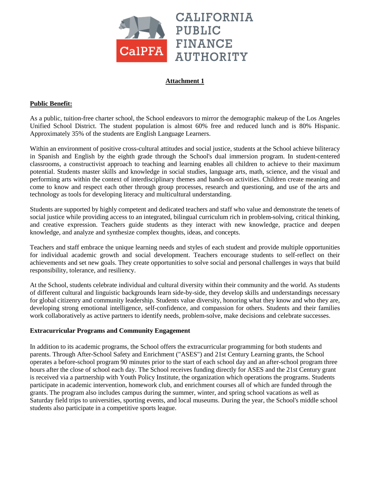

# **Attachment 1**

## **Public Benefit:**

As a public, tuition-free charter school, the School endeavors to mirror the demographic makeup of the Los Angeles Unified School District. The student population is almost 60% free and reduced lunch and is 80% Hispanic. Approximately 35% of the students are English Language Learners.

Within an environment of positive cross-cultural attitudes and social justice, students at the School achieve biliteracy in Spanish and English by the eighth grade through the School's dual immersion program. In student-centered classrooms, a constructivist approach to teaching and learning enables all children to achieve to their maximum potential. Students master skills and knowledge in social studies, language arts, math, science, and the visual and performing arts within the context of interdisciplinary themes and hands-on activities. Children create meaning and come to know and respect each other through group processes, research and questioning, and use of the arts and technology as tools for developing literacy and multicultural understanding.

Students are supported by highly competent and dedicated teachers and staff who value and demonstrate the tenets of social justice while providing access to an integrated, bilingual curriculum rich in problem-solving, critical thinking, and creative expression. Teachers guide students as they interact with new knowledge, practice and deepen knowledge, and analyze and synthesize complex thoughts, ideas, and concepts.

Teachers and staff embrace the unique learning needs and styles of each student and provide multiple opportunities for individual academic growth and social development. Teachers encourage students to self-reflect on their achievements and set new goals. They create opportunities to solve social and personal challenges in ways that build responsibility, tolerance, and resiliency.

At the School, students celebrate individual and cultural diversity within their community and the world. As students of different cultural and linguistic backgrounds learn side-by-side, they develop skills and understandings necessary for global citizenry and community leadership. Students value diversity, honoring what they know and who they are, developing strong emotional intelligence, self-confidence, and compassion for others. Students and their families work collaboratively as active partners to identify needs, problem-solve, make decisions and celebrate successes.

## **Extracurricular Programs and Community Engagement**

In addition to its academic programs, the School offers the extracurricular programming for both students and parents. Through After-School Safety and Enrichment ("ASES") and 21st Century Learning grants, the School operates a before-school program 90 minutes prior to the start of each school day and an after-school program three hours after the close of school each day. The School receives funding directly for ASES and the 21st Century grant is received via a partnership with Youth Policy Institute, the organization which operations the programs. Students participate in academic intervention, homework club, and enrichment courses all of which are funded through the grants. The program also includes campus during the summer, winter, and spring school vacations as well as Saturday field trips to universities, sporting events, and local museums. During the year, the School's middle school students also participate in a competitive sports league.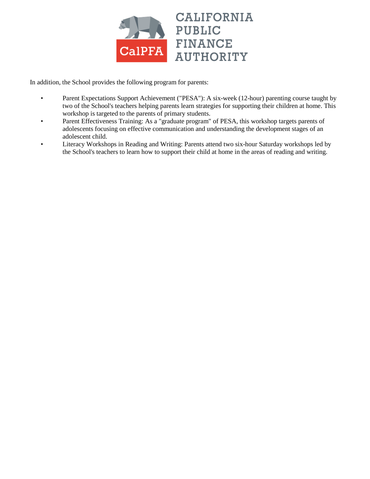

In addition, the School provides the following program for parents:

- Parent Expectations Support Achievement ("PESA"): A six-week (12-hour) parenting course taught by two of the School's teachers helping parents learn strategies for supporting their children at home. This workshop is targeted to the parents of primary students.
- Parent Effectiveness Training: As a "graduate program" of PESA, this workshop targets parents of adolescents focusing on effective communication and understanding the development stages of an adolescent child.
- Literacy Workshops in Reading and Writing: Parents attend two six-hour Saturday workshops led by the School's teachers to learn how to support their child at home in the areas of reading and writing.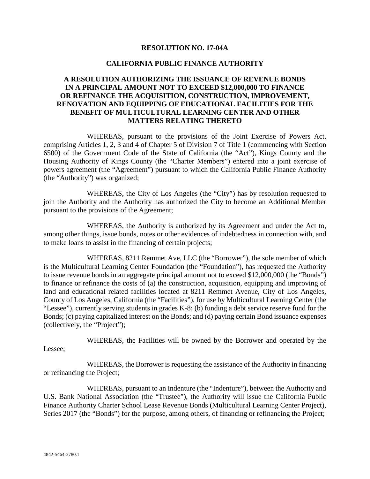## **RESOLUTION NO. 17-04A**

## **CALIFORNIA PUBLIC FINANCE AUTHORITY**

# **A RESOLUTION AUTHORIZING THE ISSUANCE OF REVENUE BONDS IN A PRINCIPAL AMOUNT NOT TO EXCEED \$12,000,000 TO FINANCE OR REFINANCE THE ACQUISITION, CONSTRUCTION, IMPROVEMENT, RENOVATION AND EQUIPPING OF EDUCATIONAL FACILITIES FOR THE BENEFIT OF MULTICULTURAL LEARNING CENTER AND OTHER MATTERS RELATING THERETO**

WHEREAS, pursuant to the provisions of the Joint Exercise of Powers Act, comprising Articles 1, 2, 3 and 4 of Chapter 5 of Division 7 of Title 1 (commencing with Section 6500) of the Government Code of the State of California (the "Act"), Kings County and the Housing Authority of Kings County (the "Charter Members") entered into a joint exercise of powers agreement (the "Agreement") pursuant to which the California Public Finance Authority (the "Authority") was organized;

WHEREAS, the City of Los Angeles (the "City") has by resolution requested to join the Authority and the Authority has authorized the City to become an Additional Member pursuant to the provisions of the Agreement;

WHEREAS, the Authority is authorized by its Agreement and under the Act to, among other things, issue bonds, notes or other evidences of indebtedness in connection with, and to make loans to assist in the financing of certain projects;

WHEREAS, 8211 Remmet Ave, LLC (the "Borrower"), the sole member of which is the Multicultural Learning Center Foundation (the "Foundation"), has requested the Authority to issue revenue bonds in an aggregate principal amount not to exceed \$12,000,000 (the "Bonds") to finance or refinance the costs of (a) the construction, acquisition, equipping and improving of land and educational related facilities located at 8211 Remmet Avenue, City of Los Angeles, County of Los Angeles, California (the "Facilities"), for use by Multicultural Learning Center (the "Lessee"), currently serving students in grades K-8; (b) funding a debt service reserve fund for the Bonds; (c) paying capitalized interest on the Bonds; and (d) paying certain Bond issuance expenses (collectively, the "Project");

WHEREAS, the Facilities will be owned by the Borrower and operated by the

Lessee;

WHEREAS, the Borrower is requesting the assistance of the Authority in financing or refinancing the Project;

WHEREAS, pursuant to an Indenture (the "Indenture"), between the Authority and U.S. Bank National Association (the "Trustee"), the Authority will issue the California Public Finance Authority Charter School Lease Revenue Bonds (Multicultural Learning Center Project), Series 2017 (the "Bonds") for the purpose, among others, of financing or refinancing the Project;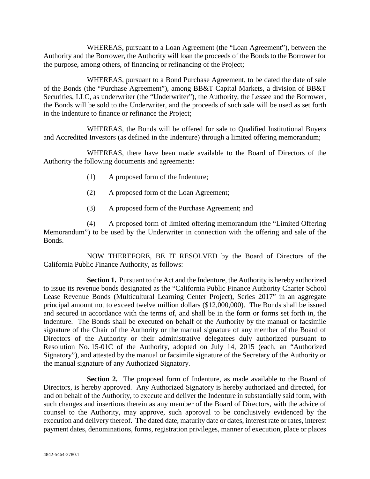WHEREAS, pursuant to a Loan Agreement (the "Loan Agreement"), between the Authority and the Borrower, the Authority will loan the proceeds of the Bonds to the Borrower for the purpose, among others, of financing or refinancing of the Project;

WHEREAS, pursuant to a Bond Purchase Agreement, to be dated the date of sale of the Bonds (the "Purchase Agreement"), among BB&T Capital Markets, a division of BB&T Securities, LLC, as underwriter (the "Underwriter"), the Authority, the Lessee and the Borrower, the Bonds will be sold to the Underwriter, and the proceeds of such sale will be used as set forth in the Indenture to finance or refinance the Project;

WHEREAS, the Bonds will be offered for sale to Qualified Institutional Buyers and Accredited Investors (as defined in the Indenture) through a limited offering memorandum;

WHEREAS, there have been made available to the Board of Directors of the Authority the following documents and agreements:

- (1) A proposed form of the Indenture;
- (2) A proposed form of the Loan Agreement;
- (3) A proposed form of the Purchase Agreement; and

(4) A proposed form of limited offering memorandum (the "Limited Offering Memorandum") to be used by the Underwriter in connection with the offering and sale of the Bonds.

NOW THEREFORE, BE IT RESOLVED by the Board of Directors of the California Public Finance Authority, as follows:

**Section 1.** Pursuant to the Act and the Indenture, the Authority is hereby authorized to issue its revenue bonds designated as the "California Public Finance Authority Charter School Lease Revenue Bonds (Multicultural Learning Center Project), Series 2017" in an aggregate principal amount not to exceed twelve million dollars (\$12,000,000). The Bonds shall be issued and secured in accordance with the terms of, and shall be in the form or forms set forth in, the Indenture. The Bonds shall be executed on behalf of the Authority by the manual or facsimile signature of the Chair of the Authority or the manual signature of any member of the Board of Directors of the Authority or their administrative delegatees duly authorized pursuant to Resolution No. 15-01C of the Authority, adopted on July 14, 2015 (each, an "Authorized Signatory"), and attested by the manual or facsimile signature of the Secretary of the Authority or the manual signature of any Authorized Signatory.

**Section 2.** The proposed form of Indenture, as made available to the Board of Directors, is hereby approved. Any Authorized Signatory is hereby authorized and directed, for and on behalf of the Authority, to execute and deliver the Indenture in substantially said form, with such changes and insertions therein as any member of the Board of Directors, with the advice of counsel to the Authority, may approve, such approval to be conclusively evidenced by the execution and delivery thereof. The dated date, maturity date or dates, interest rate or rates, interest payment dates, denominations, forms, registration privileges, manner of execution, place or places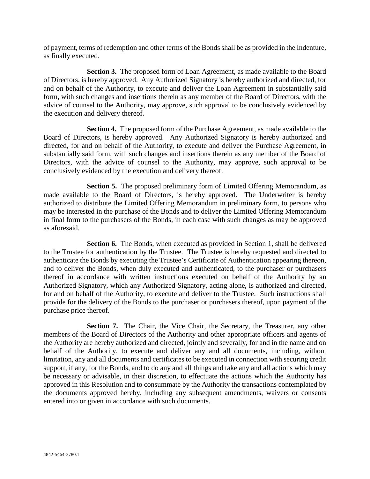of payment, terms of redemption and other terms of the Bonds shall be as provided in the Indenture, as finally executed.

**Section 3.** The proposed form of Loan Agreement, as made available to the Board of Directors, is hereby approved. Any Authorized Signatory is hereby authorized and directed, for and on behalf of the Authority, to execute and deliver the Loan Agreement in substantially said form, with such changes and insertions therein as any member of the Board of Directors, with the advice of counsel to the Authority, may approve, such approval to be conclusively evidenced by the execution and delivery thereof.

**Section 4.** The proposed form of the Purchase Agreement, as made available to the Board of Directors, is hereby approved. Any Authorized Signatory is hereby authorized and directed, for and on behalf of the Authority, to execute and deliver the Purchase Agreement, in substantially said form, with such changes and insertions therein as any member of the Board of Directors, with the advice of counsel to the Authority, may approve, such approval to be conclusively evidenced by the execution and delivery thereof.

**Section 5.** The proposed preliminary form of Limited Offering Memorandum, as made available to the Board of Directors, is hereby approved. The Underwriter is hereby authorized to distribute the Limited Offering Memorandum in preliminary form, to persons who may be interested in the purchase of the Bonds and to deliver the Limited Offering Memorandum in final form to the purchasers of the Bonds, in each case with such changes as may be approved as aforesaid.

**Section 6.** The Bonds, when executed as provided in Section 1, shall be delivered to the Trustee for authentication by the Trustee. The Trustee is hereby requested and directed to authenticate the Bonds by executing the Trustee's Certificate of Authentication appearing thereon, and to deliver the Bonds, when duly executed and authenticated, to the purchaser or purchasers thereof in accordance with written instructions executed on behalf of the Authority by an Authorized Signatory, which any Authorized Signatory, acting alone, is authorized and directed, for and on behalf of the Authority, to execute and deliver to the Trustee. Such instructions shall provide for the delivery of the Bonds to the purchaser or purchasers thereof, upon payment of the purchase price thereof.

Section 7. The Chair, the Vice Chair, the Secretary, the Treasurer, any other members of the Board of Directors of the Authority and other appropriate officers and agents of the Authority are hereby authorized and directed, jointly and severally, for and in the name and on behalf of the Authority, to execute and deliver any and all documents, including, without limitation, any and all documents and certificates to be executed in connection with securing credit support, if any, for the Bonds, and to do any and all things and take any and all actions which may be necessary or advisable, in their discretion, to effectuate the actions which the Authority has approved in this Resolution and to consummate by the Authority the transactions contemplated by the documents approved hereby, including any subsequent amendments, waivers or consents entered into or given in accordance with such documents.